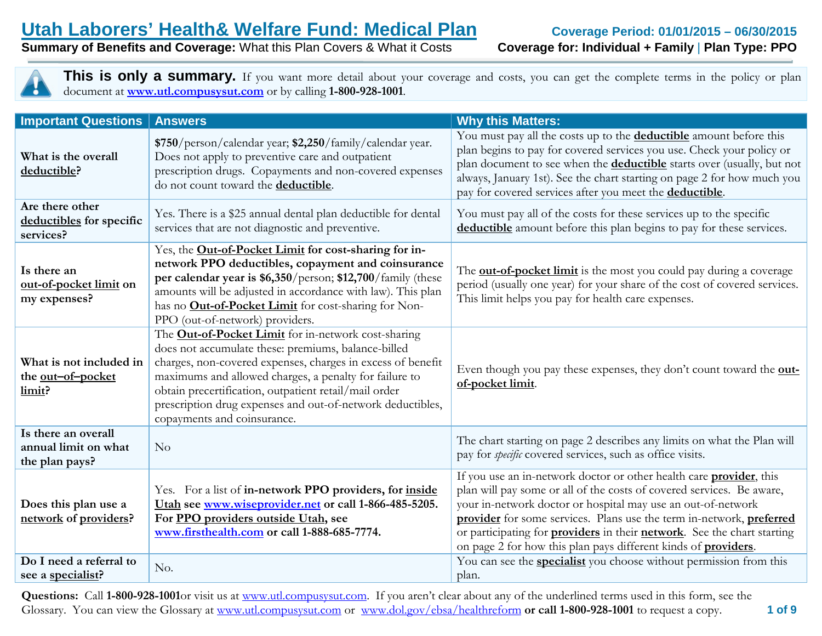**Summary of Benefits and Coverage: What this Plan Covers & What it Costs** 

|                                                               | document at <b>www.utl.compusysut.com</b> or by calling 1-800-928-1001.                                                                                                                                                                                                                                                                                                                          | <b>This is only a summary.</b> If you want more detail about your coverage and costs, you can get the complete terms in the policy or plan                                                                                                                                                                                                                                                                                                               |
|---------------------------------------------------------------|--------------------------------------------------------------------------------------------------------------------------------------------------------------------------------------------------------------------------------------------------------------------------------------------------------------------------------------------------------------------------------------------------|----------------------------------------------------------------------------------------------------------------------------------------------------------------------------------------------------------------------------------------------------------------------------------------------------------------------------------------------------------------------------------------------------------------------------------------------------------|
| <b>Important Questions</b>                                    | <b>Answers</b>                                                                                                                                                                                                                                                                                                                                                                                   | <b>Why this Matters:</b>                                                                                                                                                                                                                                                                                                                                                                                                                                 |
| What is the overall<br>deductible?                            | \$750/person/calendar year; \$2,250/family/calendar year.<br>Does not apply to preventive care and outpatient<br>prescription drugs. Copayments and non-covered expenses<br>do not count toward the deductible.                                                                                                                                                                                  | You must pay all the costs up to the <b>deductible</b> amount before this<br>plan begins to pay for covered services you use. Check your policy or<br>plan document to see when the <b>deductible</b> starts over (usually, but not<br>always, January 1st). See the chart starting on page 2 for how much you<br>pay for covered services after you meet the <b>deductible</b> .                                                                        |
| Are there other<br>deductibles for specific<br>services?      | Yes. There is a \$25 annual dental plan deductible for dental<br>services that are not diagnostic and preventive.                                                                                                                                                                                                                                                                                | You must pay all of the costs for these services up to the specific<br>deductible amount before this plan begins to pay for these services.                                                                                                                                                                                                                                                                                                              |
| Is there an<br>out-of-pocket limit on<br>my expenses?         | Yes, the Out-of-Pocket Limit for cost-sharing for in-<br>network PPO deductibles, copayment and coinsurance<br>per calendar year is \$6,350/person; \$12,700/family (these<br>amounts will be adjusted in accordance with law). This plan<br>has no <b>Out-of-Pocket Limit</b> for cost-sharing for Non-<br>PPO (out-of-network) providers.                                                      | The <b>out-of-pocket limit</b> is the most you could pay during a coverage<br>period (usually one year) for your share of the cost of covered services.<br>This limit helps you pay for health care expenses.                                                                                                                                                                                                                                            |
| What is not included in<br>the <u>out-of-pocket</u><br>limit? | The <b>Out-of-Pocket Limit</b> for in-network cost-sharing<br>does not accumulate these: premiums, balance-billed<br>charges, non-covered expenses, charges in excess of benefit<br>maximums and allowed charges, a penalty for failure to<br>obtain precertification, outpatient retail/mail order<br>prescription drug expenses and out-of-network deductibles,<br>copayments and coinsurance. | Even though you pay these expenses, they don't count toward the out-<br>of-pocket limit.                                                                                                                                                                                                                                                                                                                                                                 |
| Is there an overall<br>annual limit on what<br>the plan pays? | No                                                                                                                                                                                                                                                                                                                                                                                               | The chart starting on page 2 describes any limits on what the Plan will<br>pay for <i>specific</i> covered services, such as office visits.                                                                                                                                                                                                                                                                                                              |
| Does this plan use a<br>network of providers?                 | Yes. For a list of in-network PPO providers, for inside<br>Utah see www.wiseprovider.net or call 1-866-485-5205.<br>For PPO providers outside Utah, see<br>www.firsthealth.com or call 1-888-685-7774.                                                                                                                                                                                           | If you use an in-network doctor or other health care <b>provider</b> , this<br>plan will pay some or all of the costs of covered services. Be aware,<br>your in-network doctor or hospital may use an out-of-network<br>provider for some services. Plans use the term in-network, preferred<br>or participating for <b>providers</b> in their <b>network</b> . See the chart starting<br>on page 2 for how this plan pays different kinds of providers. |
| Do I need a referral to<br>see a specialist?                  | No.                                                                                                                                                                                                                                                                                                                                                                                              | You can see the <b>specialist</b> you choose without permission from this<br>plan.                                                                                                                                                                                                                                                                                                                                                                       |

 **1 of 9 Questions:** Call **1-800-928-1001**or visit us at [www.utl.compusysut.com.](http://www.utl.compusysut.com/) If you aren't clear about any of the underlined terms used in this form, see the Glossary. You can view the Glossary at [www.utl.compusysut.com](http://www.utl.compusysut.com/) or [www.dol.gov/ebsa/healthreform](http://www.dol.gov/ebsa/healthreform) **or call 1-800-928-1001** to request a copy.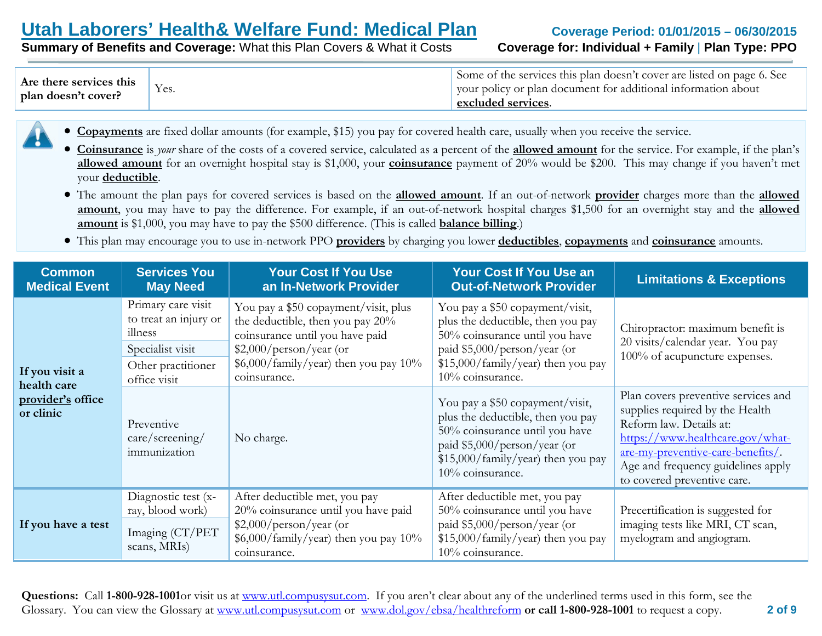**Summary of Benefits and Coverage: What this Plan Covers & What it Costs** 

| Are there services this<br>plan doesn't cover? | Yes. | Some of the services this plan doesn't cover are listed on page 6. See<br>vour policy or plan document for additional information about<br>excluded services. |
|------------------------------------------------|------|---------------------------------------------------------------------------------------------------------------------------------------------------------------|
|------------------------------------------------|------|---------------------------------------------------------------------------------------------------------------------------------------------------------------|

- **Copayments** are fixed dollar amounts (for example, \$15) you pay for covered health care, usually when you receive the service.
- **Coinsurance** is *your* share of the costs of a covered service, calculated as a percent of the **allowed amount** for the service. For example, if the plan's **allowed amount** for an overnight hospital stay is \$1,000, your **coinsurance** payment of 20% would be \$200. This may change if you haven't met your **deductible**.
- The amount the plan pays for covered services is based on the **allowed amount**. If an out-of-network **provider** charges more than the **allowed amount**, you may have to pay the difference. For example, if an out-of-network hospital charges \$1,500 for an overnight stay and the **allowed amount** is \$1,000, you may have to pay the \$500 difference. (This is called **balance billing**.)
- This plan may encourage you to use in-network PPO **providers** by charging you lower **deductibles**, **copayments** and **coinsurance** amounts.

| <b>Common</b><br><b>Medical Event</b> | <b>Services You</b><br><b>May Need</b>                                                                           | <b>Your Cost If You Use</b><br>an In-Network Provider                                                                                                                                                                                                                                                                                                                                                | <b>Your Cost If You Use an</b><br><b>Out-of-Network Provider</b>                                                                                                                                 | <b>Limitations &amp; Exceptions</b>                                                                                                                                                                                                             |
|---------------------------------------|------------------------------------------------------------------------------------------------------------------|------------------------------------------------------------------------------------------------------------------------------------------------------------------------------------------------------------------------------------------------------------------------------------------------------------------------------------------------------------------------------------------------------|--------------------------------------------------------------------------------------------------------------------------------------------------------------------------------------------------|-------------------------------------------------------------------------------------------------------------------------------------------------------------------------------------------------------------------------------------------------|
| If you visit a<br>health care         | Primary care visit<br>to treat an injury or<br>illness<br>Specialist visit<br>Other practitioner<br>office visit | You pay a \$50 copayment/visit, plus<br>You pay a \$50 copayment/visit,<br>the deductible, then you pay 20%<br>plus the deductible, then you pay<br>coinsurance until you have paid<br>50% coinsurance until you have<br>$$2,000/person/year$ (or<br>paid \$5,000/person/year (or<br>\$6,000/family/year) then you pay 10%<br>\$15,000/family/year) then you pay<br>10% coinsurance.<br>coinsurance. |                                                                                                                                                                                                  | Chiropractor: maximum benefit is<br>20 visits/calendar year. You pay<br>100% of acupuncture expenses.                                                                                                                                           |
| provider's office<br>or clinic        | Preventive<br>$\frac{care}{screening}$<br>immunization                                                           | No charge.                                                                                                                                                                                                                                                                                                                                                                                           | You pay a \$50 copayment/visit,<br>plus the deductible, then you pay<br>50% coinsurance until you have<br>paid \$5,000/person/year (or<br>\$15,000/family/year) then you pay<br>10% coinsurance. | Plan covers preventive services and<br>supplies required by the Health<br>Reform law. Details at:<br>https://www.healthcare.gov/what-<br>are-my-preventive-care-benefits/.<br>Age and frequency guidelines apply<br>to covered preventive care. |
| If you have a test                    | Diagnostic test (x-<br>ray, blood work)<br>Imaging (CT/PET<br>scans, MRIs)                                       | After deductible met, you pay<br>20% coinsurance until you have paid<br>$$2,000/person/year$ (or<br>$$6,000/family/year)$ then you pay 10%<br>coinsurance.                                                                                                                                                                                                                                           | After deductible met, you pay<br>50% coinsurance until you have<br>paid \$5,000/person/year (or<br>\$15,000/family/year) then you pay<br>10% coinsurance.                                        | Precertification is suggested for<br>imaging tests like MRI, CT scan,<br>myelogram and angiogram.                                                                                                                                               |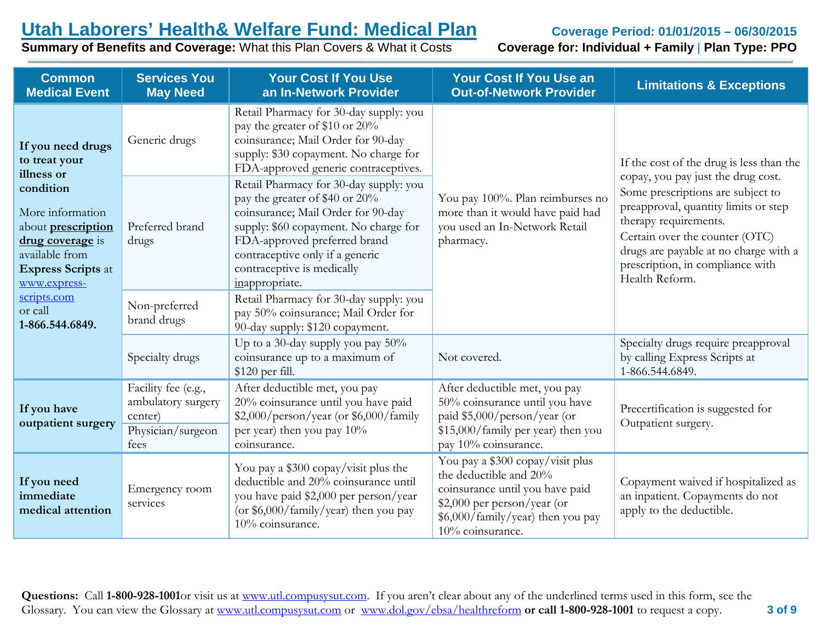**Summary of Benefits and Coverage: What this Plan Covers & What it Costs** 

| <b>Common</b><br><b>Medical Event</b>                                                                                                         | <b>Services You</b><br><b>May Need</b>                                            | <b>Your Cost If You Use</b><br>an In-Network Provider                                                                                                                                                                                                                      | <b>Your Cost If You Use an</b><br><b>Out-of-Network Provider</b>                                                                                                                      | <b>Limitations &amp; Exceptions</b>                                                                                                                                                                                                                                                                                   |
|-----------------------------------------------------------------------------------------------------------------------------------------------|-----------------------------------------------------------------------------------|----------------------------------------------------------------------------------------------------------------------------------------------------------------------------------------------------------------------------------------------------------------------------|---------------------------------------------------------------------------------------------------------------------------------------------------------------------------------------|-----------------------------------------------------------------------------------------------------------------------------------------------------------------------------------------------------------------------------------------------------------------------------------------------------------------------|
| If you need drugs<br>to treat your<br>illness or                                                                                              | Generic drugs                                                                     | Retail Pharmacy for 30-day supply: you<br>pay the greater of \$10 or 20%<br>coinsurance; Mail Order for 90-day<br>supply: \$30 copayment. No charge for<br>FDA-approved generic contraceptives.                                                                            |                                                                                                                                                                                       | If the cost of the drug is less than the<br>copay, you pay just the drug cost.<br>Some prescriptions are subject to<br>preapproval, quantity limits or step<br>therapy requirements.<br>Certain over the counter (OTC)<br>drugs are payable at no charge with a<br>prescription, in compliance with<br>Health Reform. |
| condition<br>More information<br>about <b>prescription</b><br>drug coverage is<br>available from<br><b>Express Scripts at</b><br>www.express- | Preferred brand<br>drugs                                                          | Retail Pharmacy for 30-day supply: you<br>pay the greater of \$40 or 20%<br>coinsurance; Mail Order for 90-day<br>supply: \$60 copayment. No charge for<br>FDA-approved preferred brand<br>contraceptive only if a generic<br>contraceptive is medically<br>inappropriate. | You pay 100%. Plan reimburses no<br>more than it would have paid had<br>you used an In-Network Retail<br>pharmacy.                                                                    |                                                                                                                                                                                                                                                                                                                       |
| scripts.com<br>or call<br>1-866.544.6849.                                                                                                     | Non-preferred<br>brand drugs                                                      | Retail Pharmacy for 30-day supply: you<br>pay 50% coinsurance; Mail Order for<br>90-day supply: \$120 copayment.                                                                                                                                                           |                                                                                                                                                                                       |                                                                                                                                                                                                                                                                                                                       |
|                                                                                                                                               | Specialty drugs                                                                   | Up to a 30-day supply you pay 50%<br>coinsurance up to a maximum of<br>\$120 per fill.                                                                                                                                                                                     | Not covered.                                                                                                                                                                          | Specialty drugs require preapproval<br>by calling Express Scripts at<br>1-866.544.6849.                                                                                                                                                                                                                               |
| If you have<br>outpatient surgery                                                                                                             | Facility fee (e.g.,<br>ambulatory surgery<br>center)<br>Physician/surgeon<br>fees | After deductible met, you pay<br>20% coinsurance until you have paid<br>\$2,000/person/year (or \$6,000/family<br>per year) then you pay 10%<br>coinsurance.                                                                                                               | After deductible met, you pay<br>50% coinsurance until you have<br>paid \$5,000/person/year (or<br>\$15,000/family per year) then you<br>pay 10% coinsurance.                         | Precertification is suggested for<br>Outpatient surgery.                                                                                                                                                                                                                                                              |
| If you need<br>immediate<br>medical attention                                                                                                 | Emergency room<br>services                                                        | You pay a \$300 copay/visit plus the<br>deductible and 20% coinsurance until<br>you have paid \$2,000 per person/year<br>(or $$6,000/family/year)$ then you pay<br>10% coinsurance.                                                                                        | You pay a \$300 copay/visit plus<br>the deductible and 20%<br>coinsurance until you have paid<br>\$2,000 per person/year (or<br>\$6,000/family/year) then you pay<br>10% coinsurance. | Copayment waived if hospitalized as<br>an inpatient. Copayments do not<br>apply to the deductible.                                                                                                                                                                                                                    |

**Questions:** Call **1-800-928-1001**or visit us at [www.utl.compusysut.com.](http://www.utl.compusysut.com/) If you aren't clear about any of the underlined terms used in this form, see the Glossary. You can view the Glossary at [www.utl.compusysut.com](http://www.utl.compusysut.com/) or [www.dol.gov/ebsa/healthreform](http://www.dol.gov/ebsa/healthreform) **or call 1-800-928-1001** to request a copy.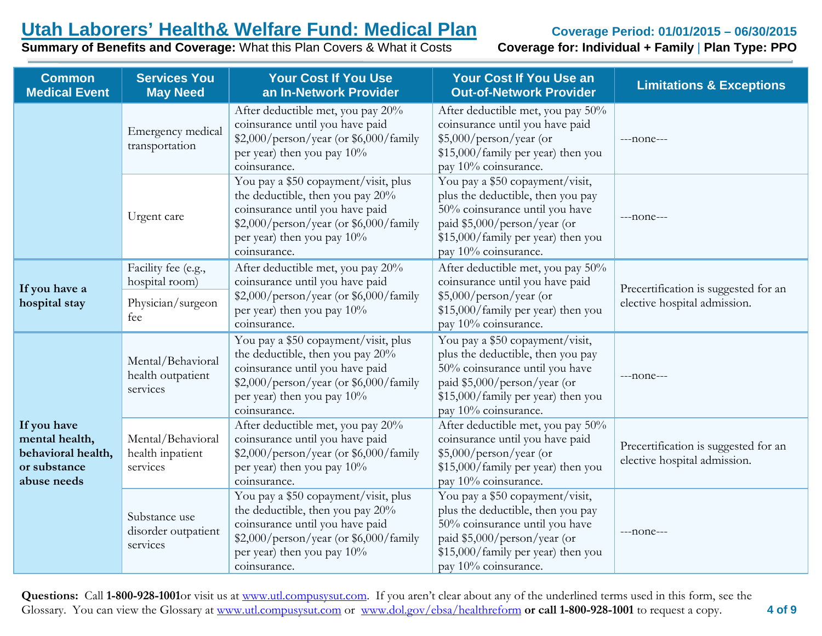**Summary of Benefits and Coverage: What this Plan Covers & What it Costs** 

| <b>Common</b><br><b>Medical Event</b>                                              | <b>Services You</b><br><b>May Need</b>                     | <b>Your Cost If You Use</b><br>an In-Network Provider                                                                                                                                               | <b>Your Cost If You Use an</b><br><b>Out-of-Network Provider</b>                                                                                                                                     | <b>Limitations &amp; Exceptions</b>                                  |  |
|------------------------------------------------------------------------------------|------------------------------------------------------------|-----------------------------------------------------------------------------------------------------------------------------------------------------------------------------------------------------|------------------------------------------------------------------------------------------------------------------------------------------------------------------------------------------------------|----------------------------------------------------------------------|--|
|                                                                                    | Emergency medical<br>transportation                        | After deductible met, you pay 20%<br>coinsurance until you have paid<br>\$2,000/person/year (or \$6,000/family<br>per year) then you pay 10%<br>coinsurance.                                        | After deductible met, you pay 50%<br>coinsurance until you have paid<br>$$5,000/person/year$ (or<br>\$15,000/family per year) then you<br>pay 10% coinsurance.                                       | $---none---$                                                         |  |
|                                                                                    | Urgent care                                                | You pay a \$50 copayment/visit, plus<br>the deductible, then you pay 20%<br>coinsurance until you have paid<br>\$2,000/person/year (or \$6,000/family<br>per year) then you pay 10%<br>coinsurance. | You pay a \$50 copayment/visit,<br>plus the deductible, then you pay<br>50% coinsurance until you have<br>paid \$5,000/person/year (or<br>\$15,000/family per year) then you<br>pay 10% coinsurance. | $---none---$                                                         |  |
| If you have a<br>hospital stay                                                     | Facility fee (e.g.,<br>hospital room)<br>Physician/surgeon | After deductible met, you pay 20%<br>coinsurance until you have paid<br>\$2,000/person/year (or \$6,000/family                                                                                      | After deductible met, you pay 50%<br>coinsurance until you have paid<br>$$5,000/person/year$ (or                                                                                                     | Precertification is suggested for an<br>elective hospital admission. |  |
|                                                                                    | fee                                                        | per year) then you pay 10%<br>coinsurance.                                                                                                                                                          | \$15,000/family per year) then you<br>pay 10% coinsurance.                                                                                                                                           |                                                                      |  |
|                                                                                    | Mental/Behavioral<br>health outpatient<br>services         | You pay a \$50 copayment/visit, plus<br>the deductible, then you pay 20%<br>coinsurance until you have paid<br>\$2,000/person/year (or \$6,000/family<br>per year) then you pay 10%<br>coinsurance. | You pay a \$50 copayment/visit,<br>plus the deductible, then you pay<br>50% coinsurance until you have<br>paid \$5,000/person/year (or<br>\$15,000/family per year) then you<br>pay 10% coinsurance. | $---none---$                                                         |  |
| If you have<br>mental health,<br>behavioral health,<br>or substance<br>abuse needs | Mental/Behavioral<br>health inpatient<br>services          | After deductible met, you pay 20%<br>coinsurance until you have paid<br>\$2,000/person/year (or \$6,000/family<br>per year) then you pay 10%<br>coinsurance.                                        | After deductible met, you pay 50%<br>coinsurance until you have paid<br>$$5,000/person/year$ (or<br>\$15,000/family per year) then you<br>pay 10% coinsurance.                                       | Precertification is suggested for an<br>elective hospital admission. |  |
|                                                                                    | Substance use<br>disorder outpatient<br>services           | You pay a \$50 copayment/visit, plus<br>the deductible, then you pay 20%<br>coinsurance until you have paid<br>\$2,000/person/year (or \$6,000/family<br>per year) then you pay 10%<br>coinsurance. | You pay a \$50 copayment/visit,<br>plus the deductible, then you pay<br>50% coinsurance until you have<br>paid \$5,000/person/year (or<br>\$15,000/family per year) then you<br>pay 10% coinsurance. | $---none---$                                                         |  |

**Questions:** Call **1-800-928-1001**or visit us at [www.utl.compusysut.com.](http://www.utl.compusysut.com/) If you aren't clear about any of the underlined terms used in this form, see the Glossary. You can view the Glossary at [www.utl.compusysut.com](http://www.utl.compusysut.com/) or [www.dol.gov/ebsa/healthreform](http://www.dol.gov/ebsa/healthreform) **or call 1-800-928-1001** to request a copy.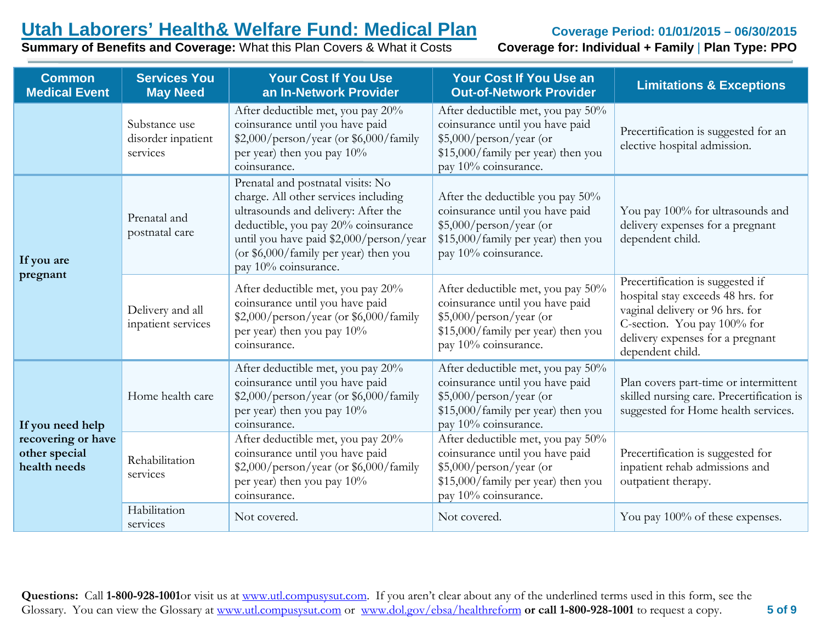**Summary of Benefits and Coverage: What this Plan Covers & What it Costs** 

| <b>Common</b><br><b>Medical Event</b>               | <b>Services You</b><br><b>May Need</b>                                                                                                                                           | <b>Your Cost If You Use</b><br>an In-Network Provider                                                                                                                                                                                                               | <b>Your Cost If You Use an</b><br><b>Out-of-Network Provider</b>                                                                                                | <b>Limitations &amp; Exceptions</b>                                                                                                                                                             |
|-----------------------------------------------------|----------------------------------------------------------------------------------------------------------------------------------------------------------------------------------|---------------------------------------------------------------------------------------------------------------------------------------------------------------------------------------------------------------------------------------------------------------------|-----------------------------------------------------------------------------------------------------------------------------------------------------------------|-------------------------------------------------------------------------------------------------------------------------------------------------------------------------------------------------|
|                                                     | Substance use<br>disorder inpatient<br>services                                                                                                                                  | After deductible met, you pay 20%<br>coinsurance until you have paid<br>\$2,000/person/year (or \$6,000/family<br>per year) then you pay 10%<br>coinsurance.                                                                                                        | After deductible met, you pay 50%<br>coinsurance until you have paid<br>\$5,000/person/year (or<br>\$15,000/family per year) then you<br>pay 10% coinsurance.   | Precertification is suggested for an<br>elective hospital admission.                                                                                                                            |
| If you are                                          | Prenatal and<br>postnatal care                                                                                                                                                   | Prenatal and postnatal visits: No<br>charge. All other services including<br>ultrasounds and delivery: After the<br>deductible, you pay 20% coinsurance<br>until you have paid \$2,000/person/year<br>(or \$6,000/family per year) then you<br>pay 10% coinsurance. | After the deductible you pay $50\%$<br>coinsurance until you have paid<br>\$5,000/person/year (or<br>\$15,000/family per year) then you<br>pay 10% coinsurance. | You pay 100% for ultrasounds and<br>delivery expenses for a pregnant<br>dependent child.                                                                                                        |
| pregnant                                            | Delivery and all<br>inpatient services                                                                                                                                           | After deductible met, you pay 20%<br>coinsurance until you have paid<br>\$2,000/person/year (or \$6,000/family<br>per year) then you pay 10%<br>coinsurance.                                                                                                        | After deductible met, you pay 50%<br>coinsurance until you have paid<br>\$5,000/person/year (or<br>\$15,000/family per year) then you<br>pay 10% coinsurance.   | Precertification is suggested if<br>hospital stay exceeds 48 hrs. for<br>vaginal delivery or 96 hrs. for<br>C-section. You pay 100% for<br>delivery expenses for a pregnant<br>dependent child. |
| If you need help                                    | After deductible met, you pay 20%<br>coinsurance until you have paid<br>\$2,000/person/year (or \$6,000/family<br>Home health care<br>per year) then you pay 10%<br>coinsurance. |                                                                                                                                                                                                                                                                     | After deductible met, you pay 50%<br>coinsurance until you have paid<br>\$5,000/person/year (or<br>\$15,000/family per year) then you<br>pay 10% coinsurance.   | Plan covers part-time or intermittent<br>skilled nursing care. Precertification is<br>suggested for Home health services.                                                                       |
| recovering or have<br>other special<br>health needs | Rehabilitation<br>services                                                                                                                                                       | After deductible met, you pay 20%<br>coinsurance until you have paid<br>\$2,000/person/year (or \$6,000/family<br>per year) then you pay 10%<br>coinsurance.                                                                                                        | After deductible met, you pay 50%<br>coinsurance until you have paid<br>\$5,000/person/year (or<br>\$15,000/family per year) then you<br>pay 10% coinsurance.   | Precertification is suggested for<br>inpatient rehab admissions and<br>outpatient therapy.                                                                                                      |
|                                                     | Habilitation<br>services                                                                                                                                                         | Not covered.                                                                                                                                                                                                                                                        | Not covered.                                                                                                                                                    | You pay 100% of these expenses.                                                                                                                                                                 |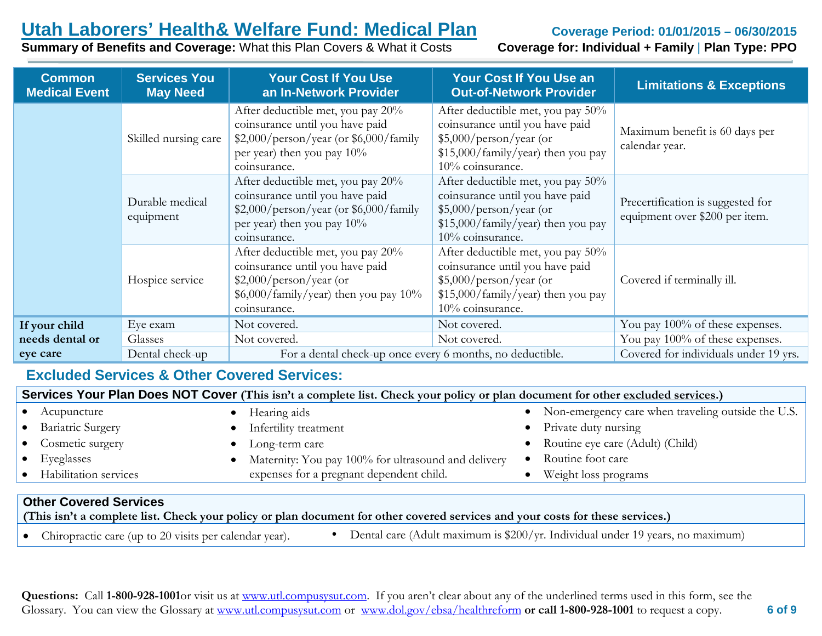### **Summary of Benefits and Coverage: What this Plan Covers & What it Costs**

| <b>Common</b><br><b>Medical Event</b> | <b>Services You</b><br><b>May Need</b> | <b>Your Cost If You Use</b><br>an In-Network Provider                                                                                                        | <b>Your Cost If You Use an</b><br><b>Out-of-Network Provider</b>                                                                                           | <b>Limitations &amp; Exceptions</b>                                 |
|---------------------------------------|----------------------------------------|--------------------------------------------------------------------------------------------------------------------------------------------------------------|------------------------------------------------------------------------------------------------------------------------------------------------------------|---------------------------------------------------------------------|
|                                       | Skilled nursing care                   | After deductible met, you pay 20%<br>coinsurance until you have paid<br>\$2,000/person/year (or \$6,000/family<br>per year) then you pay 10%<br>coinsurance. | After deductible met, you pay 50%<br>coinsurance until you have paid<br>$$5,000/person/year$ (or<br>\$15,000/family/year) then you pay<br>10% coinsurance. | Maximum benefit is 60 days per<br>calendar year.                    |
|                                       | Durable medical<br>equipment           | After deductible met, you pay 20%<br>coinsurance until you have paid<br>\$2,000/person/year (or \$6,000/family<br>per year) then you pay 10%<br>coinsurance. | After deductible met, you pay 50%<br>coinsurance until you have paid<br>$$5,000/person/year$ (or<br>\$15,000/family/year) then you pay<br>10% coinsurance. | Precertification is suggested for<br>equipment over \$200 per item. |
|                                       | Hospice service                        | After deductible met, you pay 20%<br>coinsurance until you have paid<br>$$2,000/person/year$ (or<br>$$6,000$ /family/year) then you pay 10%<br>coinsurance.  | After deductible met, you pay 50%<br>coinsurance until you have paid<br>$$5,000/person/year$ (or<br>\$15,000/family/year) then you pay<br>10% coinsurance. | Covered if terminally ill.                                          |
| If your child                         | Eye exam                               | Not covered.                                                                                                                                                 | Not covered.                                                                                                                                               | You pay 100% of these expenses.                                     |
| needs dental or                       | Glasses                                | Not covered.                                                                                                                                                 | Not covered.                                                                                                                                               | You pay 100% of these expenses.                                     |
| eye care                              | Dental check-up                        | For a dental check-up once every 6 months, no deductible.                                                                                                    |                                                                                                                                                            | Covered for individuals under 19 yrs.                               |

### **Excluded Services & Other Covered Services:**

| Services Your Plan Does NOT Cover (This isn't a complete list. Check your policy or plan document for other excluded services.) |                                                     |  |                                                      |
|---------------------------------------------------------------------------------------------------------------------------------|-----------------------------------------------------|--|------------------------------------------------------|
| Acupuncture                                                                                                                     | Hearing aids                                        |  | • Non-emergency care when traveling outside the U.S. |
| <b>Bariatric Surgery</b>                                                                                                        | Infertility treatment                               |  | Private duty nursing                                 |
| Cosmetic surgery                                                                                                                | Long-term care                                      |  | Routine eye care (Adult) (Child)                     |
| Eyeglasses                                                                                                                      | Maternity: You pay 100% for ultrasound and delivery |  | Routine foot care                                    |
| Habilitation services                                                                                                           | expenses for a pregnant dependent child.            |  | Weight loss programs                                 |
|                                                                                                                                 |                                                     |  |                                                      |

#### **Other Covered Services**

**(This isn't a complete list. Check your policy or plan document for other covered services and your costs for these services.)**

Chiropractic care (up to 20 visits per calendar year).  $\bullet$  Dental care (Adult maximum is \$200/yr. Individual under 19 years, no maximum)

**Questions:** Call **1-800-928-1001**or visit us at [www.utl.compusysut.com.](http://www.utl.compusysut.com/) If you aren't clear about any of the underlined terms used in this form, see the Glossary. You can view the Glossary at [www.utl.compusysut.com](http://www.utl.compusysut.com/) or [www.dol.gov/ebsa/healthreform](http://www.dol.gov/ebsa/healthreform) **or call 1-800-928-1001** to request a copy.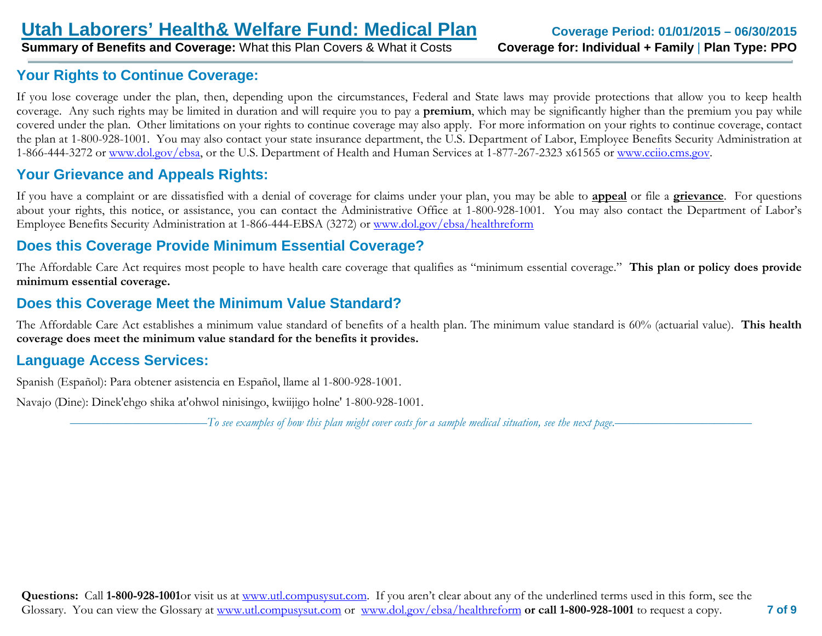### **Your Rights to Continue Coverage:**

If you lose coverage under the plan, then, depending upon the circumstances, Federal and State laws may provide protections that allow you to keep health coverage. Any such rights may be limited in duration and will require you to pay a **premium**, which may be significantly higher than the premium you pay while covered under the plan. Other limitations on your rights to continue coverage may also apply. For more information on your rights to continue coverage, contact the plan at 1-800-928-1001. You may also contact your state insurance department, the U.S. Department of Labor, Employee Benefits Security Administration at 1-866-444-3272 or [www.dol.gov/ebsa,](http://www.dol.gov/ebsa) or the U.S. Department of Health and Human Services at 1-877-267-2323 x61565 or [www.cciio.cms.gov.](http://www.cciio.cms.gov/)

### **Your Grievance and Appeals Rights:**

If you have a complaint or are dissatisfied with a denial of coverage for claims under your plan, you may be able to **appeal** or file a **grievance**. For questions about your rights, this notice, or assistance, you can contact the Administrative Office at 1-800-928-1001. You may also contact the Department of Labor's Employee Benefits Security Administration at 1-866-444-EBSA (3272) or [www.dol.gov/ebsa/healthreform](http://www.dol.gov/ebsa/healthreform)

### **Does this Coverage Provide Minimum Essential Coverage?**

The Affordable Care Act requires most people to have health care coverage that qualifies as "minimum essential coverage." **This plan or policy does provide minimum essential coverage.**

### **Does this Coverage Meet the Minimum Value Standard?**

The Affordable Care Act establishes a minimum value standard of benefits of a health plan. The minimum value standard is 60% (actuarial value). **This health coverage does meet the minimum value standard for the benefits it provides.**

### **Language Access Services:**

Spanish (Español): Para obtener asistencia en Español, llame al 1-800-928-1001.

Navajo (Dine): Dinek'ehgo shika at'ohwol ninisingo, kwiijigo holne' 1-800-928-1001.

––––––––––––––––––––––*To see examples of how this plan might cover costs for a sample medical situation, see the next page.–––––––––––*–––––––––––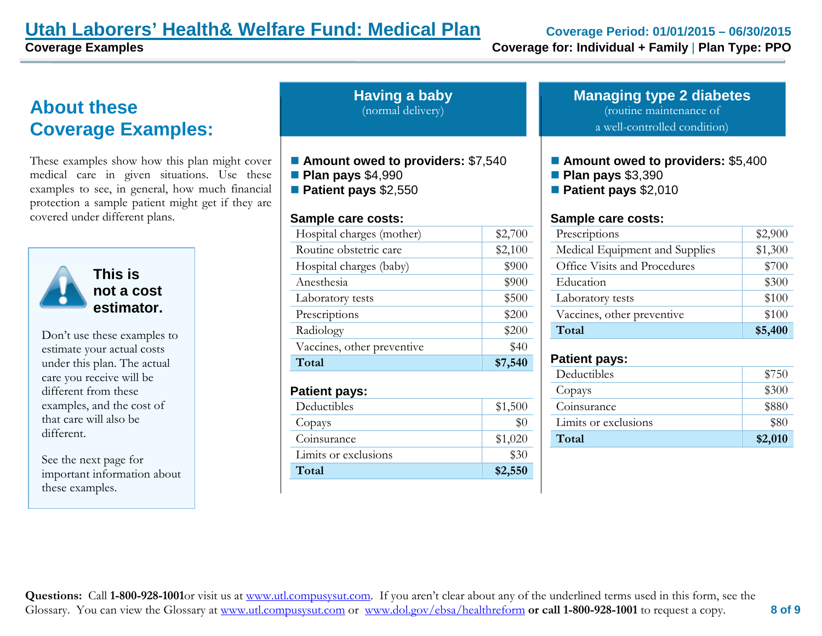## **Utah Laborers' Health& Welfare Fund: Medical Plan Coverage Period: 01/01/2015 – 06/30/2015**

## **About these Coverage Examples:**

These examples show how this plan might cover medical care in given situations. Use these examples to see, in general, how much financial protection a sample patient might get if they are covered under different plans.



**This is not a cost estimator.** 

Don't use these examples to estimate your actual costs under this plan. The actual care you receive will be different from these examples, and the cost of that care will also be different.

See the next page for important information about these examples.

| <b>Having a baby</b> |                   |
|----------------------|-------------------|
|                      | (normal delivery) |

- **Amount owed to providers:** \$7,540
- **Plan pays** \$4,990
- **Patient pays** \$2,550

### **Sample care costs:**

| Hospital charges (mother)  | \$2,700 |
|----------------------------|---------|
| Routine obstetric care     | \$2,100 |
| Hospital charges (baby)    | \$900   |
| Anesthesia                 | \$900   |
| Laboratory tests           | \$500   |
| Prescriptions              | \$200   |
| Radiology                  | \$200   |
| Vaccines, other preventive | \$40    |
| Total                      | \$7,540 |
| <b>Patient pays:</b>       |         |
| Deductibles                | \$1,500 |
| Copays                     | $\$0$   |
| Coinsurance                | \$1,020 |

Limits or exclusions \$30 **Total \$2,550**

**Managing type 2 diabetes** (routine maintenance of a well-controlled condition)

- Amount owed to providers: \$5,400
- **Plan pays** \$3,390
- **Patient pays** \$2,010

### **Sample care costs:**

| Prescriptions                  | \$2,900 |
|--------------------------------|---------|
| Medical Equipment and Supplies | \$1,300 |
| Office Visits and Procedures   | \$700   |
| Education                      | \$300   |
| Laboratory tests               | \$100   |
| Vaccines, other preventive     | \$100   |
| Total                          | \$5,400 |

### **Patient pays:**

| Deductibles          | \$750   |
|----------------------|---------|
| Copays               | \$300   |
| Coinsurance          | \$880   |
| Limits or exclusions | \$80    |
| Total                | \$2,010 |